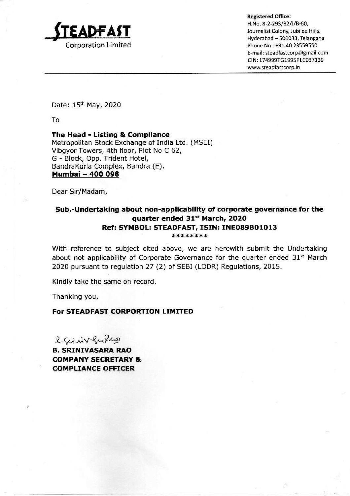

Registered Office:

H.No. 8-2-293/82/]/B-60, Journalist Colony, Jubilee Hills, LADFAST Signalist Colony, Jubilee Hills, E-mail: steadfastcorp@gmail.com CIN: L74999TG1995PLC037139 www.steadfastcorp.in

Date: 15<sup>th</sup> May, 2020

To

The Head - Listing & Compliance Metropolitan Stock Exchange of India Ltd. (MSEI) Vibgyor Towers, 4th floor, Plot No C 62, G - Block, Opp. Trident Hotel, BandraKurla Complex, Bandra (E), Mumbai - 400 098

Dear Sir/Madam,

## Sub.-Undertaking about non-applicability of corporate governance for the quarter ended 31% March, 2020 Ref: SYMBOL: STEADFAST, ISIN: INE089B01013 \*\*\*\*\*\*\*

With reference to subject cited above, we are herewith submit the Undertaking about not applicability of Corporate Governance for the quarter ended 31% March 2020 pursuant to regulation 27 (2) of SEBI (LODR) Regulations, 2015.

Kindly take the same on record.

Thanking you,

## For STEADFAST CORPORTION LIMITED

£,

2. Cermve Re Rew

B. SRINIVASARA RAO COMPANY SECRETARY & COMPLIANCE OFFICER